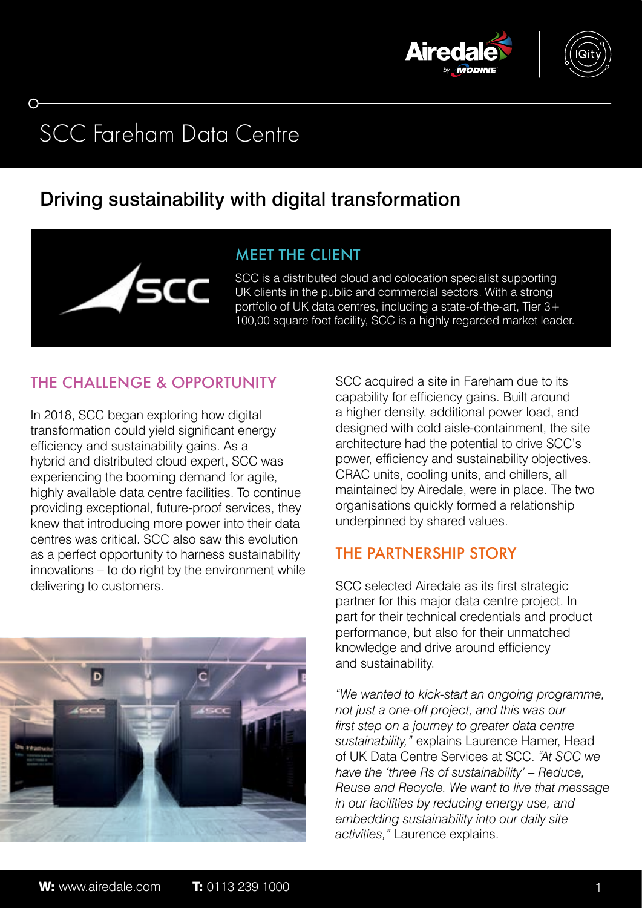



# SCC Fareham Data Centre

# Driving sustainability with digital transformation



SCC is a distributed cloud and colocation specialist supporting UK clients in the public and commercial sectors. With a strong portfolio of UK data centres, including a state-of-the-art, Tier 3+ 100,00 square foot facility, SCC is a highly regarded market leader.

# THE CHALLENGE & OPPORTUNITY

In 2018, SCC began exploring how digital transformation could yield significant energy efficiency and sustainability gains. As a hybrid and distributed cloud expert, SCC was experiencing the booming demand for agile, highly available data centre facilities. To continue providing exceptional, future-proof services, they knew that introducing more power into their data centres was critical. SCC also saw this evolution as a perfect opportunity to harness sustainability innovations – to do right by the environment while delivering to customers.



SCC acquired a site in Fareham due to its capability for efficiency gains. Built around a higher density, additional power load, and designed with cold aisle-containment, the site architecture had the potential to drive SCC's power, efficiency and sustainability objectives. CRAC units, cooling units, and chillers, all maintained by Airedale, were in place. The two organisations quickly formed a relationship underpinned by shared values.

# THE PARTNERSHIP STORY

SCC selected Airedale as its first strategic partner for this major data centre project. In part for their technical credentials and product performance, but also for their unmatched knowledge and drive around efficiency and sustainability.

*"We wanted to kick-start an ongoing programme, not just a one-off project, and this was our first step on a journey to greater data centre sustainability,"* explains Laurence Hamer, Head of UK Data Centre Services at SCC. *"At SCC we have the 'three Rs of sustainability' – Reduce, Reuse and Recycle. We want to live that message in our facilities by reducing energy use, and embedding sustainability into our daily site activities,"* Laurence explains.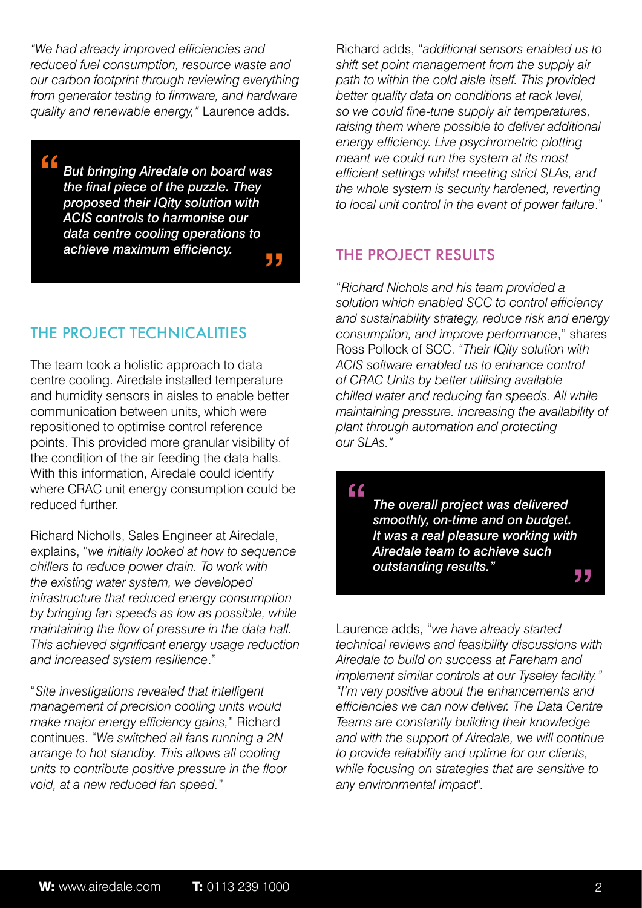*"We had already improved efficiencies and reduced fuel consumption, resource waste and our carbon footprint through reviewing everything from generator testing to firmware, and hardware quality and renewable energy,"* Laurence adds.

*But bringing Airedale on board was the final piece of the puzzle. They proposed their IQity solution with ACIS controls to harmonise our data centre cooling operations to achieve maximum efficiency.* " "

### THE PROJECT TECHNICALITIES

The team took a holistic approach to data centre cooling. Airedale installed temperature and humidity sensors in aisles to enable better communication between units, which were repositioned to optimise control reference points. This provided more granular visibility of the condition of the air feeding the data halls. With this information, Airedale could identify where CRAC unit energy consumption could be reduced further.

Richard Nicholls, Sales Engineer at Airedale, explains, "*we initially looked at how to sequence chillers to reduce power drain. To work with the existing water system, we developed infrastructure that reduced energy consumption by bringing fan speeds as low as possible, while maintaining the flow of pressure in the data hall. This achieved significant energy usage reduction and increased system resilience*."

"*Site investigations revealed that intelligent management of precision cooling units would make major energy efficiency gains,*" Richard continues. "*We switched all fans running a 2N arrange to hot standby. This allows all cooling units to contribute positive pressure in the floor void, at a new reduced fan speed.*"

Richard adds, "*additional sensors enabled us to shift set point management from the supply air path to within the cold aisle itself. This provided better quality data on conditions at rack level, so we could fine-tune supply air temperatures, raising them where possible to deliver additional energy efficiency. Live psychrometric plotting meant we could run the system at its most efficient settings whilst meeting strict SLAs, and the whole system is security hardened, reverting to local unit control in the event of power failure*."

#### THE PROJECT RESULTS

"*Richard Nichols and his team provided a solution which enabled SCC to control efficiency and sustainability strategy, reduce risk and energy consumption, and improve performance*," shares Ross Pollock of SCC. *"Their IQity solution with ACIS software enabled us to enhance control of CRAC Units by better utilising available chilled water and reducing fan speeds. All while maintaining pressure. increasing the availability of plant through automation and protecting our SLAs."* 

"

*The overall project was delivered smoothly, on-time and on budget. It was a real pleasure working with Airedale team to achieve such outstanding results."* "

Laurence adds, "*we have already started technical reviews and feasibility discussions with Airedale to build on success at Fareham and implement similar controls at our Tyseley facility." "I'm very positive about the enhancements and efficiencies we can now deliver. The Data Centre Teams are constantly building their knowledge and with the support of Airedale, we will continue to provide reliability and uptime for our clients, while focusing on strategies that are sensitive to any environmental impact".*